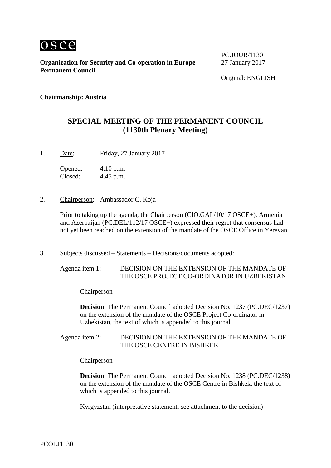

PC.JOUR/1130

#### **Chairmanship: Austria**

## **SPECIAL MEETING OF THE PERMANENT COUNCIL (1130th Plenary Meeting)**

1. Date: Friday, 27 January 2017

Opened: 4.10 p.m. Closed: 4.45 p.m.

2. Chairperson: Ambassador C. Koja

Prior to taking up the agenda, the Chairperson (CIO.GAL/10/17 OSCE+), Armenia and Azerbaijan (PC.DEL/112/17 OSCE+) expressed their regret that consensus had not yet been reached on the extension of the mandate of the OSCE Office in Yerevan.

3. Subjects discussed – Statements – Decisions/documents adopted:

Agenda item 1: DECISION ON THE EXTENSION OF THE MANDATE OF THE OSCE PROJECT CO-ORDINATOR IN UZBEKISTAN

Chairperson

**Decision**: The Permanent Council adopted Decision No. 1237 (PC.DEC/1237) on the extension of the mandate of the OSCE Project Co-ordinator in Uzbekistan, the text of which is appended to this journal.

Agenda item 2: DECISION ON THE EXTENSION OF THE MANDATE OF THE OSCE CENTRE IN BISHKEK

Chairperson

**Decision**: The Permanent Council adopted Decision No. 1238 (PC.DEC/1238) on the extension of the mandate of the OSCE Centre in Bishkek, the text of which is appended to this journal.

Kyrgyzstan (interpretative statement, see attachment to the decision)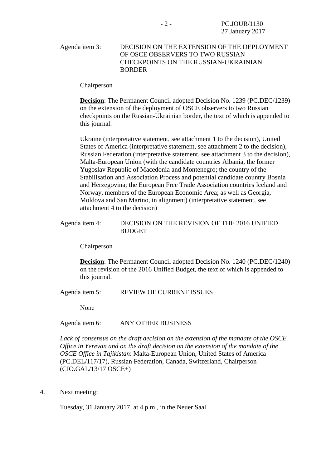#### Agenda item 3: DECISION ON THE EXTENSION OF THE DEPLOYMENT OF OSCE OBSERVERS TO TWO RUSSIAN CHECKPOINTS ON THE RUSSIAN-UKRAINIAN BORDER

Chairperson

**Decision**: The Permanent Council adopted Decision No. 1239 (PC.DEC/1239) on the extension of the deployment of OSCE observers to two Russian checkpoints on the Russian-Ukrainian border, the text of which is appended to this journal.

Ukraine (interpretative statement, see attachment 1 to the decision), United States of America (interpretative statement, see attachment 2 to the decision), Russian Federation (interpretative statement, see attachment 3 to the decision), Malta-European Union (with the candidate countries Albania, the former Yugoslav Republic of Macedonia and Montenegro; the country of the Stabilisation and Association Process and potential candidate country Bosnia and Herzegovina; the European Free Trade Association countries Iceland and Norway, members of the European Economic Area; as well as Georgia, Moldova and San Marino, in alignment) (interpretative statement, see attachment 4 to the decision)

#### Agenda item 4: DECISION ON THE REVISION OF THE 2016 UNIFIED **BUDGET**

Chairperson

**Decision**: The Permanent Council adopted Decision No. 1240 (PC.DEC/1240) on the revision of the 2016 Unified Budget, the text of which is appended to this journal.

Agenda item 5: REVIEW OF CURRENT ISSUES

None

Agenda item 6: ANY OTHER BUSINESS

*Lack of consensus on the draft decision on the extension of the mandate of the OSCE Office in Yerevan and on the draft decision on the extension of the mandate of the OSCE Office in Tajikistan*: Malta-European Union, United States of America (PC.DEL/117/17), Russian Federation, Canada, Switzerland, Chairperson (CIO.GAL/13/17 OSCE+)

4. Next meeting:

Tuesday, 31 January 2017, at 4 p.m., in the Neuer Saal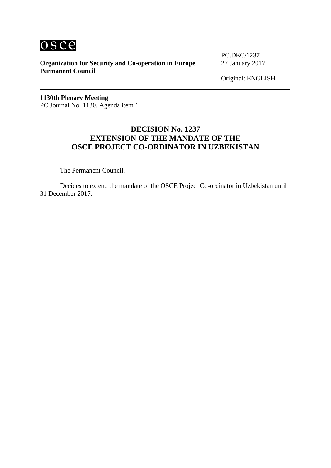

PC.DEC/1237

Original: ENGLISH

**1130th Plenary Meeting** PC Journal No. 1130, Agenda item 1

## **DECISION No. 1237 EXTENSION OF THE MANDATE OF THE OSCE PROJECT CO-ORDINATOR IN UZBEKISTAN**

The Permanent Council,

Decides to extend the mandate of the OSCE Project Co-ordinator in Uzbekistan until 31 December 2017.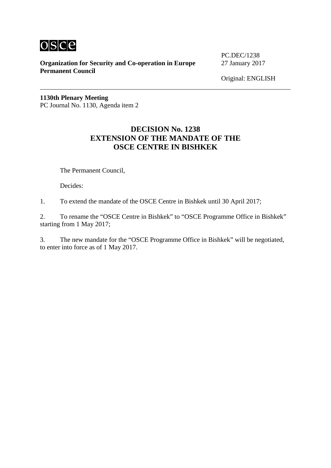

PC.DEC/1238

Original: ENGLISH

**1130th Plenary Meeting** PC Journal No. 1130, Agenda item 2

## **DECISION No. 1238 EXTENSION OF THE MANDATE OF THE OSCE CENTRE IN BISHKEK**

The Permanent Council,

Decides:

1. To extend the mandate of the OSCE Centre in Bishkek until 30 April 2017;

2. To rename the "OSCE Centre in Bishkek" to "OSCE Programme Office in Bishkek" starting from 1 May 2017;

3. The new mandate for the "OSCE Programme Office in Bishkek" will be negotiated, to enter into force as of 1 May 2017.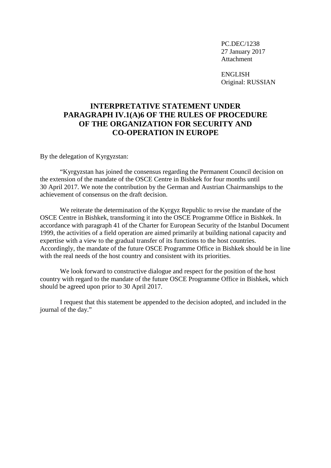ENGLISH Original: RUSSIAN

# **INTERPRETATIVE STATEMENT UNDER PARAGRAPH IV.1(A)6 OF THE RULES OF PROCEDURE OF THE ORGANIZATION FOR SECURITY AND CO-OPERATION IN EUROPE**

By the delegation of Kyrgyzstan:

"Kyrgyzstan has joined the consensus regarding the Permanent Council decision on the extension of the mandate of the OSCE Centre in Bishkek for four months until 30 April 2017. We note the contribution by the German and Austrian Chairmanships to the achievement of consensus on the draft decision.

We reiterate the determination of the Kyrgyz Republic to revise the mandate of the OSCE Centre in Bishkek, transforming it into the OSCE Programme Office in Bishkek. In accordance with paragraph 41 of the Charter for European Security of the Istanbul Document 1999, the activities of a field operation are aimed primarily at building national capacity and expertise with a view to the gradual transfer of its functions to the host countries. Accordingly, the mandate of the future OSCE Programme Office in Bishkek should be in line with the real needs of the host country and consistent with its priorities.

We look forward to constructive dialogue and respect for the position of the host country with regard to the mandate of the future OSCE Programme Office in Bishkek, which should be agreed upon prior to 30 April 2017.

I request that this statement be appended to the decision adopted, and included in the journal of the day."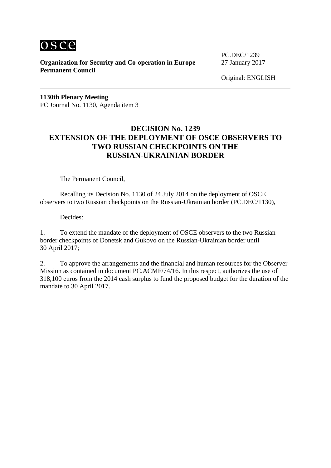

PC.DEC/1239

Original: ENGLISH

**1130th Plenary Meeting** PC Journal No. 1130, Agenda item 3

## **DECISION No. 1239 EXTENSION OF THE DEPLOYMENT OF OSCE OBSERVERS TO TWO RUSSIAN CHECKPOINTS ON THE RUSSIAN-UKRAINIAN BORDER**

The Permanent Council,

Recalling its Decision No. 1130 of 24 July 2014 on the deployment of OSCE observers to two Russian checkpoints on the Russian-Ukrainian border (PC.DEC/1130),

Decides:

1. To extend the mandate of the deployment of OSCE observers to the two Russian border checkpoints of Donetsk and Gukovo on the Russian-Ukrainian border until 30 April 2017;

2. To approve the arrangements and the financial and human resources for the Observer Mission as contained in document PC.ACMF/74/16. In this respect, authorizes the use of 318,100 euros from the 2014 cash surplus to fund the proposed budget for the duration of the mandate to 30 April 2017.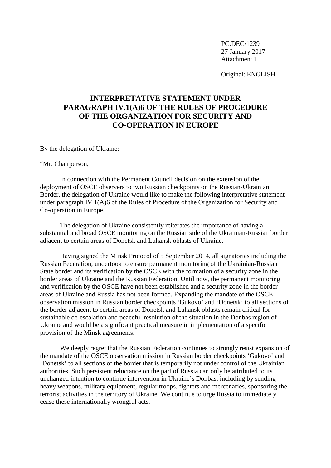Original: ENGLISH

# **INTERPRETATIVE STATEMENT UNDER PARAGRAPH IV.1(A)6 OF THE RULES OF PROCEDURE OF THE ORGANIZATION FOR SECURITY AND CO-OPERATION IN EUROPE**

By the delegation of Ukraine:

"Mr. Chairperson,

In connection with the Permanent Council decision on the extension of the deployment of OSCE observers to two Russian checkpoints on the Russian-Ukrainian Border, the delegation of Ukraine would like to make the following interpretative statement under paragraph IV.1(A)6 of the Rules of Procedure of the Organization for Security and Co-operation in Europe.

The delegation of Ukraine consistently reiterates the importance of having a substantial and broad OSCE monitoring on the Russian side of the Ukrainian-Russian border adjacent to certain areas of Donetsk and Luhansk oblasts of Ukraine.

Having signed the Minsk Protocol of 5 September 2014, all signatories including the Russian Federation, undertook to ensure permanent monitoring of the Ukrainian-Russian State border and its verification by the OSCE with the formation of a security zone in the border areas of Ukraine and the Russian Federation. Until now, the permanent monitoring and verification by the OSCE have not been established and a security zone in the border areas of Ukraine and Russia has not been formed. Expanding the mandate of the OSCE observation mission in Russian border checkpoints 'Gukovo' and 'Donetsk' to all sections of the border adjacent to certain areas of Donetsk and Luhansk oblasts remain critical for sustainable de-escalation and peaceful resolution of the situation in the Donbas region of Ukraine and would be a significant practical measure in implementation of a specific provision of the Minsk agreements.

We deeply regret that the Russian Federation continues to strongly resist expansion of the mandate of the OSCE observation mission in Russian border checkpoints 'Gukovo' and 'Donetsk' to all sections of the border that is temporarily not under control of the Ukrainian authorities. Such persistent reluctance on the part of Russia can only be attributed to its unchanged intention to continue intervention in Ukraine's Donbas, including by sending heavy weapons, military equipment, regular troops, fighters and mercenaries, sponsoring the terrorist activities in the territory of Ukraine. We continue to urge Russia to immediately cease these internationally wrongful acts.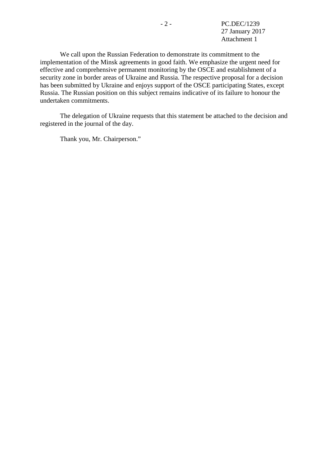We call upon the Russian Federation to demonstrate its commitment to the implementation of the Minsk agreements in good faith. We emphasize the urgent need for effective and comprehensive permanent monitoring by the OSCE and establishment of a security zone in border areas of Ukraine and Russia. The respective proposal for a decision has been submitted by Ukraine and enjoys support of the OSCE participating States, except Russia. The Russian position on this subject remains indicative of its failure to honour the undertaken commitments.

The delegation of Ukraine requests that this statement be attached to the decision and registered in the journal of the day.

Thank you, Mr. Chairperson."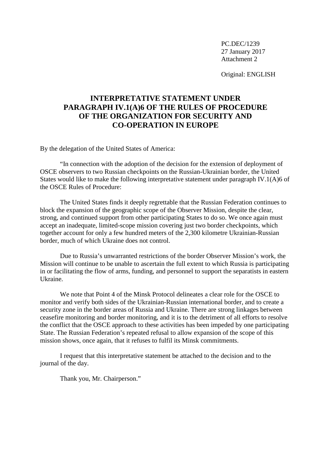Original: ENGLISH

# **INTERPRETATIVE STATEMENT UNDER PARAGRAPH IV.1(A)6 OF THE RULES OF PROCEDURE OF THE ORGANIZATION FOR SECURITY AND CO-OPERATION IN EUROPE**

By the delegation of the United States of America:

"In connection with the adoption of the decision for the extension of deployment of OSCE observers to two Russian checkpoints on the Russian-Ukrainian border, the United States would like to make the following interpretative statement under paragraph IV.1(A)6 of the OSCE Rules of Procedure:

The United States finds it deeply regrettable that the Russian Federation continues to block the expansion of the geographic scope of the Observer Mission, despite the clear, strong, and continued support from other participating States to do so. We once again must accept an inadequate, limited-scope mission covering just two border checkpoints, which together account for only a few hundred meters of the 2,300 kilometre Ukrainian-Russian border, much of which Ukraine does not control.

Due to Russia's unwarranted restrictions of the border Observer Mission's work, the Mission will continue to be unable to ascertain the full extent to which Russia is participating in or facilitating the flow of arms, funding, and personnel to support the separatists in eastern Ukraine.

We note that Point 4 of the Minsk Protocol delineates a clear role for the OSCE to monitor and verify both sides of the Ukrainian-Russian international border, and to create a security zone in the border areas of Russia and Ukraine. There are strong linkages between ceasefire monitoring and border monitoring, and it is to the detriment of all efforts to resolve the conflict that the OSCE approach to these activities has been impeded by one participating State. The Russian Federation's repeated refusal to allow expansion of the scope of this mission shows, once again, that it refuses to fulfil its Minsk commitments.

I request that this interpretative statement be attached to the decision and to the journal of the day.

Thank you, Mr. Chairperson."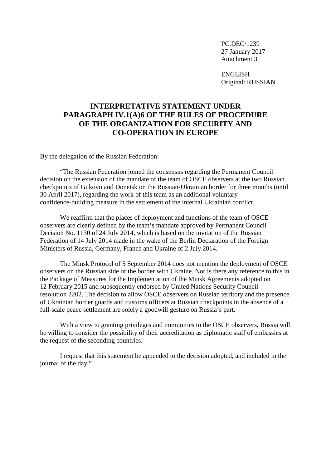ENGLISH Original: RUSSIAN

# **INTERPRETATIVE STATEMENT UNDER PARAGRAPH IV.1(A)6 OF THE RULES OF PROCEDURE OF THE ORGANIZATION FOR SECURITY AND CO-OPERATION IN EUROPE**

By the delegation of the Russian Federation:

"The Russian Federation joined the consensus regarding the Permanent Council decision on the extension of the mandate of the team of OSCE observers at the two Russian checkpoints of Gukovo and Donetsk on the Russian-Ukrainian border for three months (until 30 April 2017), regarding the work of this team as an additional voluntary confidence-building measure in the settlement of the internal Ukrainian conflict.

We reaffirm that the places of deployment and functions of the team of OSCE observers are clearly defined by the team's mandate approved by Permanent Council Decision No. 1130 of 24 July 2014, which is based on the invitation of the Russian Federation of 14 July 2014 made in the wake of the Berlin Declaration of the Foreign Ministers of Russia, Germany, France and Ukraine of 2 July 2014.

The Minsk Protocol of 5 September 2014 does not mention the deployment of OSCE observers on the Russian side of the border with Ukraine. Nor is there any reference to this in the Package of Measures for the Implementation of the Minsk Agreements adopted on 12 February 2015 and subsequently endorsed by United Nations Security Council resolution 2202. The decision to allow OSCE observers on Russian territory and the presence of Ukrainian border guards and customs officers at Russian checkpoints in the absence of a full-scale peace settlement are solely a goodwill gesture on Russia's part.

With a view to granting privileges and immunities to the OSCE observers, Russia will be willing to consider the possibility of their accreditation as diplomatic staff of embassies at the request of the seconding countries.

I request that this statement be appended to the decision adopted, and included in the journal of the day."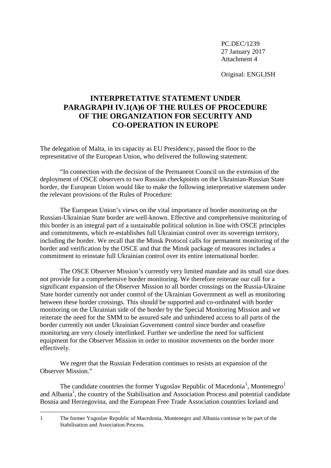Original: ENGLISH

# **INTERPRETATIVE STATEMENT UNDER PARAGRAPH IV.1(A)6 OF THE RULES OF PROCEDURE OF THE ORGANIZATION FOR SECURITY AND CO-OPERATION IN EUROPE**

The delegation of Malta, in its capacity as EU Presidency, passed the floor to the representative of the European Union, who delivered the following statement:

"In connection with the decision of the Permanent Council on the extension of the deployment of OSCE observers to two Russian checkpoints on the Ukrainian-Russian State border, the European Union would like to make the following interpretative statement under the relevant provisions of the Rules of Procedure:

The European Union's views on the vital importance of border monitoring on the Russian-Ukrainian State border are well-known. Effective and comprehensive monitoring of this border is an integral part of a sustainable political solution in line with OSCE principles and commitments, which re-establishes full Ukrainian control over its sovereign territory, including the border. We recall that the Minsk Protocol calls for permanent monitoring of the border and verification by the OSCE and that the Minsk package of measures includes a commitment to reinstate full Ukrainian control over its entire international border.

The OSCE Observer Mission's currently very limited mandate and its small size does not provide for a comprehensive border monitoring. We therefore reiterate our call for a significant expansion of the Observer Mission to all border crossings on the Russia-Ukraine State border currently not under control of the Ukrainian Government as well as monitoring between these border crossings. This should be supported and co-ordinated with border monitoring on the Ukrainian side of the border by the Special Monitoring Mission and we reiterate the need for the SMM to be assured safe and unhindered access to all parts of the border currently not under Ukrainian Government control since border and ceasefire monitoring are very closely interlinked. Further we underline the need for sufficient equipment for the Observer Mission in order to monitor movements on the border more effectively.

We regret that the Russian Federation continues to resists an expansion of the Observer Mission."

The candidate countries the former Yugoslav Republic of Macedonia<sup>[1](#page-10-0)</sup>, Montenegro<sup>1</sup> and Albania<sup>1</sup>, the country of the Stabilisation and Association Process and potential candidate Bosnia and Herzegovina, and the European Free Trade Association countries Iceland and

<u>.</u>

<span id="page-10-0"></span><sup>1</sup> The former Yugoslav Republic of Macedonia, Montenegro and Albania continue to be part of the Stabilisation and Association Process.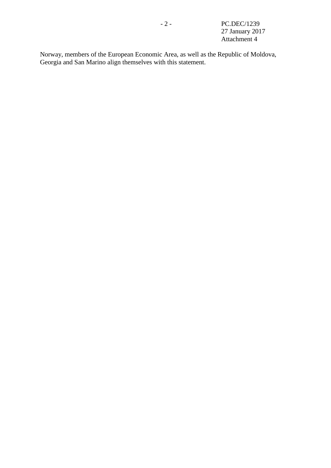Norway, members of the European Economic Area, as well as the Republic of Moldova, Georgia and San Marino align themselves with this statement.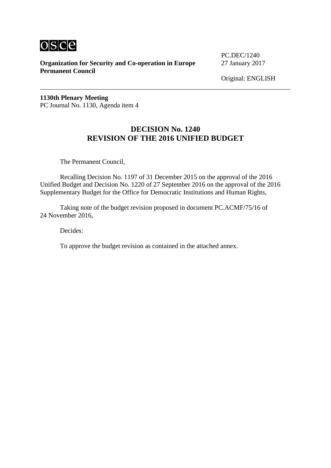

PC.DEC/1240

Original: ENGLISH

**1130th Plenary Meeting** PC Journal No. 1130, Agenda item 4

# **DECISION No. 1240 REVISION OF THE 2016 UNIFIED BUDGET**

The Permanent Council,

Recalling Decision No. 1197 of 31 December 2015 on the approval of the 2016 Unified Budget and Decision No. 1220 of 27 September 2016 on the approval of the 2016 Supplementary Budget for the Office for Democratic Institutions and Human Rights,

Taking note of the budget revision proposed in document PC.ACMF/75/16 of 24 November 2016,

Decides:

To approve the budget revision as contained in the attached annex.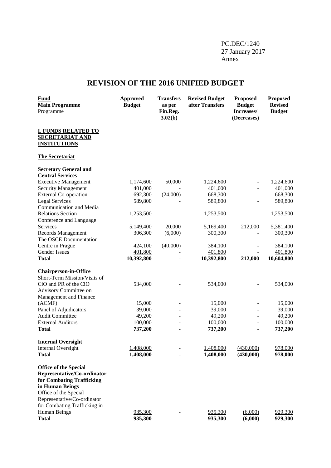### PC.DEC/1240 27 January 2017 Annex

# **REVISION OF THE 2016 UNIFIED BUDGET**

| <b>Fund</b><br><b>Main Programme</b><br>Programme                           | Approved<br><b>Budget</b> | <b>Transfers</b><br>as per<br>Fin.Reg.<br>3.02(b) | <b>Revised Budget</b><br>after Transfers | <b>Proposed</b><br><b>Budget</b><br>Increases/<br>(Decreases) | <b>Proposed</b><br><b>Revised</b><br><b>Budget</b> |
|-----------------------------------------------------------------------------|---------------------------|---------------------------------------------------|------------------------------------------|---------------------------------------------------------------|----------------------------------------------------|
| <b>I. FUNDS RELATED TO</b><br><b>SECRETARIAT AND</b><br><b>INSTITUTIONS</b> |                           |                                                   |                                          |                                                               |                                                    |
| <b>The Secretariat</b>                                                      |                           |                                                   |                                          |                                                               |                                                    |
| <b>Secretary General and</b>                                                |                           |                                                   |                                          |                                                               |                                                    |
| <b>Central Services</b>                                                     |                           |                                                   |                                          |                                                               |                                                    |
| <b>Executive Management</b>                                                 | 1,174,600                 | 50,000                                            | 1,224,600                                |                                                               | 1,224,600                                          |
| <b>Security Management</b>                                                  | 401,000                   |                                                   | 401,000                                  | $\overline{a}$                                                | 401,000                                            |
| <b>External Co-operation</b>                                                | 692,300                   | (24,000)                                          | 668,300                                  | $\overline{\phantom{a}}$                                      | 668,300                                            |
| <b>Legal Services</b><br>Communication and Media                            | 589,800                   |                                                   | 589,800                                  | $\overline{a}$                                                | 589,800                                            |
| <b>Relations Section</b>                                                    | 1,253,500                 |                                                   | 1,253,500                                |                                                               | 1,253,500                                          |
| Conference and Language                                                     |                           |                                                   |                                          | $\overline{\phantom{a}}$                                      |                                                    |
| Services                                                                    | 5,149,400                 | 20,000                                            | 5,169,400                                | 212,000                                                       | 5,381,400                                          |
| Records Management                                                          | 306,300                   | (6,000)                                           | 300,300                                  | $\blacksquare$                                                | 300,300                                            |
| The OSCE Documentation                                                      |                           |                                                   |                                          |                                                               |                                                    |
| Centre in Prague                                                            | 424,100                   | (40,000)                                          | 384,100                                  |                                                               | 384,100                                            |
| <b>Gender Issues</b>                                                        | 401,800                   |                                                   | 401,800                                  |                                                               | 401,800                                            |
| <b>Total</b>                                                                | 10,392,800                |                                                   | 10,392,800                               | 212,000                                                       | 10,604,800                                         |
|                                                                             |                           |                                                   |                                          |                                                               |                                                    |
| <b>Chairperson-in-Office</b>                                                |                           |                                                   |                                          |                                                               |                                                    |
| Short-Term Mission/Visits of<br>CiO and PR of the CiO                       |                           |                                                   |                                          |                                                               |                                                    |
| Advisory Committee on                                                       | 534,000                   |                                                   | 534,000                                  |                                                               | 534,000                                            |
| Management and Finance                                                      |                           |                                                   |                                          |                                                               |                                                    |
| (ACMF)                                                                      | 15,000                    |                                                   | 15,000                                   |                                                               | 15,000                                             |
| Panel of Adjudicators                                                       | 39,000                    |                                                   | 39,000                                   |                                                               | 39,000                                             |
| Audit Committee                                                             | 49,200                    |                                                   | 49,200                                   | $\blacksquare$                                                | 49,200                                             |
| <b>External Auditors</b>                                                    | 100,000                   |                                                   | 100,000                                  | $\blacksquare$                                                | 100,000                                            |
| <b>Total</b>                                                                | 737,200                   |                                                   | 737,200                                  |                                                               | 737,200                                            |
|                                                                             |                           |                                                   |                                          |                                                               |                                                    |
| <b>Internal Oversight</b>                                                   |                           |                                                   |                                          |                                                               |                                                    |
| Internal Oversight                                                          | 1,408,000<br>1,408,000    |                                                   | 1,408,000<br>1,408,000                   | (430,000)<br>(430,000)                                        | 978,000<br>978,000                                 |
| <b>Total</b>                                                                |                           |                                                   |                                          |                                                               |                                                    |
| <b>Office of the Special</b>                                                |                           |                                                   |                                          |                                                               |                                                    |
| Representative/Co-ordinator                                                 |                           |                                                   |                                          |                                                               |                                                    |
| for Combating Trafficking                                                   |                           |                                                   |                                          |                                                               |                                                    |
| in Human Beings                                                             |                           |                                                   |                                          |                                                               |                                                    |
| Office of the Special                                                       |                           |                                                   |                                          |                                                               |                                                    |
| Representative/Co-ordinator                                                 |                           |                                                   |                                          |                                                               |                                                    |
| for Combating Trafficking in                                                |                           |                                                   |                                          |                                                               |                                                    |
| Human Beings                                                                | 935,300                   |                                                   | 935,300                                  | (6,000)                                                       | 929,300                                            |
| <b>Total</b>                                                                | 935,300                   |                                                   | 935,300                                  | (6,000)                                                       | 929,300                                            |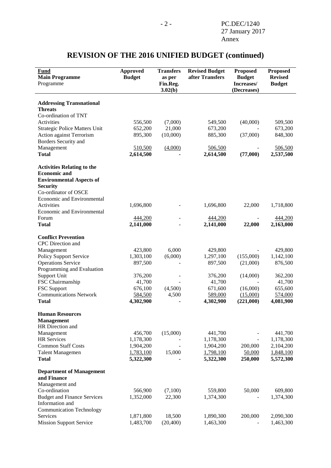#### **Fund Main Programme** Programme **Approved Budget Transfers as per Fin.Reg. 3.02(b) Revised Budget after Transfers Proposed Budget Increases/ (Decreases) Proposed Revised Budget Addressing Transnational Threats** Co-ordination of TNT Activities 656,500 (7,000) 549,500 (40,000) 509,500 Strategic Police Matters Unit  $652,200$   $21,000$   $673,200$   $673,200$ Action against Terrorism 895,300 (10,000) 885,300 (37,000) 848,300 Borders Security and Management 510,500 (4,000) 506,500 - 506,500 **Total 2,614,500 - 2,614,500 (77,000) 2,537,500 Activities Relating to the Economic and Environmental Aspects of Security** Co-ordinator of OSCE Economic and Environmental Activities 1,696,800 - 1,696,800 - 22,000 1,718,800 Economic and Environmental Forum 444,200 - 444,200 - 444,200 **Total 2,141,000** - **2,141,000 22,000 2,163,000 Conflict Prevention** CPC Direction and Management 423,800 6,000 429,800 - 429,800 Policy Support Service 1,303,100 (6,000) 1,297,100 (155,000) 1,142,100 Operations Service 897,500 - 897,500 (21,000) 876,500 Programming and Evaluation Support Unit 376,200 - 376,200 (14,000) 362,200 FSC Chairmanship  $41,700$  -  $41,700$  -  $41,700$  -  $41,700$  -  $41,700$ <br>FSC Support  $676,100$   $(4,500)$   $671,600$   $(16,000)$   $655,600$ FSC Support 676,100 (4,500) 671,600 (16,000) 655,600 Communications Network 584,500 4,500 589,000 (15,000) 574,000 **Total 4,302,900 - 4,302,900 (221,000) 4,081,900 Human Resources Management** HR Direction and Management 456,700 (15,000) 441,700 - 441,700 HR Services 1,178,300 - 1,178,300 - 1,178,300 Common Staff Costs 1,904,200 - 1,904,200 200,000 2,104,200 Talent Managemen 1,783,100 15,000 1,798,100 50,000 1,848,100 **Total 5,322,300 - 5,322,300 250,000 5,572,300 Department of Management and Finance** Management and Co-ordination 566,900 (7,100) 559,800 50,000 609,800 Budget and Finance Services 1,352,000 22,300 1,374,300 - 1,374,300 Information and Communication Technology Services 1,871,800 18,500 1,890,300 200,000 2,090,300 Mission Support Service 1,483,700 (20,400) 1,463,300 - 1,463,300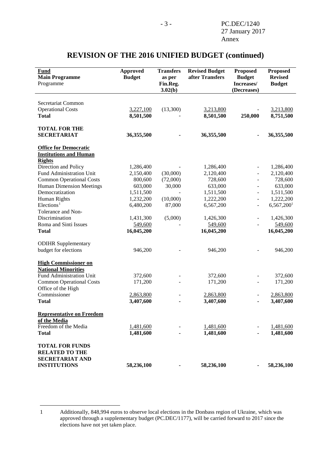<span id="page-15-0"></span>

| <b>Fund</b><br><b>Main Programme</b><br>Programme                                                | <b>Approved</b><br><b>Budget</b> | <b>Transfers</b><br>as per<br>Fin.Reg.<br>3.02(b) | <b>Revised Budget</b><br>after Transfers | <b>Proposed</b><br><b>Budget</b><br>Increases/<br>(Decreases) | <b>Proposed</b><br><b>Revised</b><br><b>Budget</b> |
|--------------------------------------------------------------------------------------------------|----------------------------------|---------------------------------------------------|------------------------------------------|---------------------------------------------------------------|----------------------------------------------------|
| Secretariat Common                                                                               |                                  |                                                   |                                          |                                                               |                                                    |
| <b>Operational Costs</b>                                                                         | 3,227,100                        | (13,300)                                          | 3,213,800                                |                                                               | 3,213,800                                          |
| <b>Total</b>                                                                                     | 8,501,500                        |                                                   | 8,501,500                                | 250,000                                                       | 8,751,500                                          |
| <b>TOTAL FOR THE</b>                                                                             |                                  |                                                   |                                          |                                                               |                                                    |
| <b>SECRETARIAT</b>                                                                               | 36,355,500                       |                                                   | 36,355,500                               |                                                               | 36,355,500                                         |
| <b>Office for Democratic</b><br><b>Institutions and Human</b><br><b>Rights</b>                   |                                  |                                                   |                                          |                                                               |                                                    |
| Direction and Policy                                                                             | 1,286,400                        |                                                   | 1,286,400                                |                                                               | 1,286,400                                          |
| Fund Administration Unit                                                                         | 2,150,400                        | (30,000)                                          | 2,120,400                                |                                                               | 2,120,400                                          |
| <b>Common Operational Costs</b>                                                                  | 800,600                          | (72,000)                                          | 728,600                                  | $\overline{\phantom{a}}$                                      | 728,600                                            |
| <b>Human Dimension Meetings</b>                                                                  | 603,000                          | 30,000                                            | 633,000                                  | $\overline{\phantom{a}}$                                      | 633,000                                            |
| Democratization<br>Human Rights                                                                  | 1,511,500<br>1,232,200           | (10,000)                                          | 1,511,500<br>1,222,200                   | $\overline{\phantom{a}}$<br>$\overline{\phantom{a}}$          | 1,511,500<br>1,222,200                             |
| Elections <sup>1</sup>                                                                           | 6,480,200                        | 87,000                                            | 6,567,200                                | $\overline{\phantom{a}}$                                      | 6,567,200 <sup>1</sup>                             |
| Tolerance and Non-                                                                               |                                  |                                                   |                                          |                                                               |                                                    |
| Discrimination                                                                                   | 1,431,300                        | (5,000)                                           | 1,426,300                                | $\overline{\phantom{a}}$                                      | 1,426,300                                          |
| Roma and Sinti Issues                                                                            | 549,600                          |                                                   | 549,600                                  |                                                               | 549,600                                            |
| <b>Total</b>                                                                                     | 16,045,200                       |                                                   | 16,045,200                               |                                                               | 16,045,200                                         |
| <b>ODIHR Supplementary</b>                                                                       |                                  |                                                   |                                          |                                                               |                                                    |
| budget for elections                                                                             | 946,200                          |                                                   | 946,200                                  |                                                               | 946,200                                            |
| <b>High Commissioner on</b><br><b>National Minorities</b>                                        |                                  |                                                   |                                          |                                                               |                                                    |
| <b>Fund Administration Unit</b>                                                                  | 372,600                          |                                                   | 372,600                                  |                                                               | 372,600                                            |
| <b>Common Operational Costs</b>                                                                  | 171,200                          |                                                   | 171,200                                  |                                                               | 171,200                                            |
| Office of the High                                                                               |                                  |                                                   |                                          |                                                               |                                                    |
| Commissioner                                                                                     | 2,863,800                        |                                                   | 2,863,800                                |                                                               | 2,863,800                                          |
| <b>Total</b>                                                                                     | 3,407,600                        |                                                   | 3,407,600                                |                                                               | 3,407,600                                          |
| <b>Representative on Freedom</b><br>of the Media<br>Freedom of the Media                         | 1,481,600                        |                                                   | 1,481,600                                |                                                               | 1,481,600                                          |
| <b>Total</b>                                                                                     | 1,481,600                        |                                                   | 1,481,600                                |                                                               | 1,481,600                                          |
| <b>TOTAL FOR FUNDS</b><br><b>RELATED TO THE</b><br><b>SECRETARIAT AND</b><br><b>INSTITUTIONS</b> | 58,236,100                       |                                                   | 58,236,100                               |                                                               | 58,236,100                                         |

<span id="page-15-1"></span>-

<sup>1</sup> Additionally, 848,994 euros to observe local elections in the Donbass region of Ukraine, which was approved through a supplementary budget (PC.DEC/1177), will be carried forward to 2017 since the elections have not yet taken place.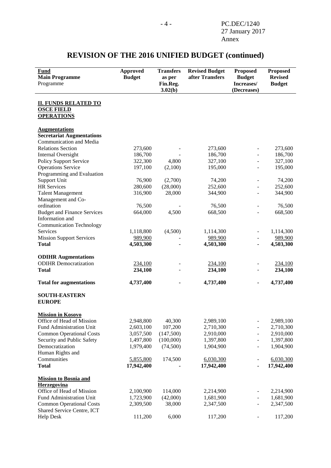| Fund<br><b>Main Programme</b>                                 | <b>Approved</b><br><b>Budget</b> | <b>Transfers</b><br>as per | <b>Revised Budget</b><br>after Transfers | <b>Proposed</b><br><b>Budget</b> | <b>Proposed</b><br><b>Revised</b> |
|---------------------------------------------------------------|----------------------------------|----------------------------|------------------------------------------|----------------------------------|-----------------------------------|
| Programme                                                     |                                  | Fin.Reg.<br>3.02(b)        |                                          | Increases/<br>(Decreases)        | <b>Budget</b>                     |
|                                                               |                                  |                            |                                          |                                  |                                   |
| <b>II. FUNDS RELATED TO</b><br><b>OSCE FIELD</b>              |                                  |                            |                                          |                                  |                                   |
| <b>OPERATIONS</b>                                             |                                  |                            |                                          |                                  |                                   |
| <b>Augmentations</b>                                          |                                  |                            |                                          |                                  |                                   |
| <b>Secretariat Augmentations</b>                              |                                  |                            |                                          |                                  |                                   |
| Communication and Media                                       |                                  |                            |                                          |                                  |                                   |
| <b>Relations Section</b>                                      | 273,600                          |                            | 273,600                                  |                                  | 273,600                           |
| <b>Internal Oversight</b>                                     | 186,700                          |                            | 186,700                                  |                                  | 186,700                           |
| <b>Policy Support Service</b>                                 | 322,300                          | 4,800                      | 327,100                                  |                                  | 327,100                           |
| <b>Operations Service</b>                                     | 197,100                          | (2,100)                    | 195,000                                  |                                  | 195,000                           |
| Programming and Evaluation                                    |                                  |                            |                                          |                                  |                                   |
| Support Unit<br><b>HR</b> Services                            | 76,900<br>280,600                | (2,700)<br>(28,000)        | 74,200<br>252,600                        |                                  | 74,200<br>252,600                 |
| <b>Talent Management</b>                                      | 316,900                          | 28,000                     | 344,900                                  |                                  | 344,900                           |
| Management and Co-                                            |                                  |                            |                                          |                                  |                                   |
| ordination                                                    | 76,500                           |                            | 76,500                                   |                                  | 76,500                            |
| <b>Budget and Finance Services</b>                            | 664,000                          | 4,500                      | 668,500                                  |                                  | 668,500                           |
| Information and                                               |                                  |                            |                                          |                                  |                                   |
| <b>Communication Technology</b>                               |                                  |                            |                                          |                                  |                                   |
| Services                                                      | 1,118,800                        | (4,500)                    | 1,114,300                                |                                  | 1,114,300                         |
| <b>Mission Support Services</b>                               | 989,900                          |                            | 989,900                                  |                                  | 989,900                           |
| <b>Total</b>                                                  | 4,503,300                        |                            | 4,503,300                                |                                  | 4,503,300                         |
|                                                               |                                  |                            |                                          |                                  |                                   |
| <b>ODIHR Augmentations</b>                                    |                                  |                            |                                          |                                  |                                   |
| <b>ODIHR</b> Democratization                                  | 234,100                          |                            | 234,100                                  |                                  | 234,100                           |
| <b>Total</b>                                                  | 234,100                          |                            | 234,100                                  |                                  | 234,100                           |
| <b>Total for augmentations</b>                                | 4,737,400                        |                            | 4,737,400                                | ۰                                | 4,737,400                         |
| <b>SOUTH-EASTERN</b>                                          |                                  |                            |                                          |                                  |                                   |
| <b>EUROPE</b>                                                 |                                  |                            |                                          |                                  |                                   |
| <b>Mission in Kosovo</b>                                      |                                  |                            |                                          |                                  |                                   |
| Office of Head of Mission                                     | 2,948,800                        | 40,300                     | 2,989,100                                | $\overline{\phantom{0}}$         | 2,989,100                         |
| Fund Administration Unit                                      | 2,603,100                        | 107,200                    | 2,710,300                                |                                  | 2,710,300                         |
| <b>Common Operational Costs</b>                               | 3,057,500                        | (147,500)                  | 2,910,000                                | $\blacksquare$                   | 2,910,000                         |
| Security and Public Safety                                    | 1,497,800                        | (100,000)                  | 1,397,800                                | ÷,                               | 1,397,800                         |
| Democratization                                               | 1,979,400                        | (74,500)                   | 1,904,900                                |                                  | 1,904,900                         |
| Human Rights and                                              |                                  |                            |                                          |                                  |                                   |
| Communities                                                   | 5,855,800                        | 174,500                    | 6,030,300                                |                                  | 6,030,300                         |
| <b>Total</b>                                                  | 17,942,400                       |                            | 17,942,400                               |                                  | 17,942,400                        |
| <b>Mission to Bosnia and</b>                                  |                                  |                            |                                          |                                  |                                   |
| Herzegovina                                                   |                                  |                            |                                          |                                  |                                   |
| Office of Head of Mission                                     | 2,100,900                        | 114,000                    | 2,214,900                                |                                  | 2,214,900                         |
| Fund Administration Unit                                      | 1,723,900                        | (42,000)                   | 1,681,900                                |                                  | 1,681,900                         |
| <b>Common Operational Costs</b><br>Shared Service Centre, ICT | 2,309,500                        | 38,000                     | 2,347,500                                |                                  | 2,347,500                         |
| <b>Help Desk</b>                                              | 111,200                          | 6,000                      | 117,200                                  |                                  | 117,200                           |
|                                                               |                                  |                            |                                          |                                  |                                   |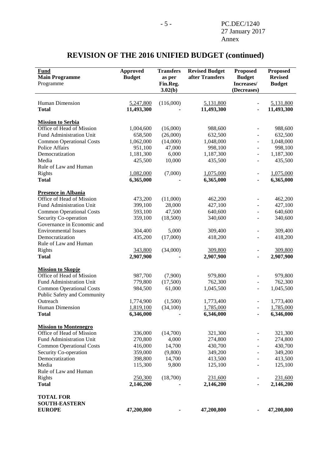| Fund<br><b>Main Programme</b><br>Programme              | <b>Approved</b><br><b>Budget</b> | <b>Transfers</b><br>as per<br>Fin.Reg.<br>3.02(b) | <b>Revised Budget</b><br>after Transfers | <b>Proposed</b><br><b>Budget</b><br>Increases/<br>(Decreases) | <b>Proposed</b><br><b>Revised</b><br><b>Budget</b> |
|---------------------------------------------------------|----------------------------------|---------------------------------------------------|------------------------------------------|---------------------------------------------------------------|----------------------------------------------------|
|                                                         |                                  |                                                   |                                          |                                                               |                                                    |
| Human Dimension                                         | 5,247,800                        | (116,000)                                         | 5,131,800                                |                                                               | 5,131,800                                          |
| <b>Total</b>                                            | 11,493,300                       |                                                   | 11,493,300                               |                                                               | 11,493,300                                         |
| <b>Mission to Serbia</b>                                |                                  |                                                   |                                          |                                                               |                                                    |
| Office of Head of Mission                               | 1,004,600                        | (16,000)                                          | 988,600                                  |                                                               | 988,600                                            |
| Fund Administration Unit                                | 658,500                          | (26,000)                                          | 632,500                                  |                                                               | 632,500                                            |
| <b>Common Operational Costs</b>                         | 1,062,000                        | (14,000)                                          | 1,048,000                                |                                                               | 1,048,000                                          |
| Police Affairs                                          | 951,100                          | 47,000                                            | 998,100                                  | ۳                                                             | 998,100                                            |
| Democratization                                         | 1,181,300                        | 6,000                                             | 1,187,300                                |                                                               | 1,187,300                                          |
| Media                                                   | 425,500                          | 10,000                                            | 435,500                                  |                                                               | 435,500                                            |
| Rule of Law and Human                                   |                                  |                                                   |                                          |                                                               |                                                    |
| Rights                                                  | 1,082,000                        | (7,000)                                           | 1,075,000                                |                                                               | 1,075,000                                          |
| <b>Total</b>                                            | 6,365,000                        |                                                   | 6,365,000                                |                                                               | 6,365,000                                          |
|                                                         |                                  |                                                   |                                          |                                                               |                                                    |
| <b>Presence in Albania</b><br>Office of Head of Mission | 473,200                          | (11,000)                                          | 462,200                                  |                                                               | 462,200                                            |
| Fund Administration Unit                                | 399,100                          | 28,000                                            | 427,100                                  |                                                               | 427,100                                            |
| <b>Common Operational Costs</b>                         | 593,100                          | 47,500                                            | 640,600                                  |                                                               | 640,600                                            |
| Security Co-operation                                   | 359,100                          | (18,500)                                          | 340,600                                  |                                                               | 340,600                                            |
| Governance in Economic and                              |                                  |                                                   |                                          |                                                               |                                                    |
| <b>Environmental Issues</b>                             | 304,400                          | 5,000                                             | 309,400                                  |                                                               | 309,400                                            |
| Democratization                                         | 435,200                          | (17,000)                                          | 418,200                                  |                                                               | 418,200                                            |
| Rule of Law and Human                                   |                                  |                                                   |                                          |                                                               |                                                    |
| Rights                                                  | 343,800                          | (34,000)                                          | 309,800                                  |                                                               | 309,800                                            |
| <b>Total</b>                                            | 2,907,900                        |                                                   | 2,907,900                                |                                                               | 2,907,900                                          |
|                                                         |                                  |                                                   |                                          |                                                               |                                                    |
| <b>Mission to Skopje</b><br>Office of Head of Mission   |                                  |                                                   |                                          |                                                               |                                                    |
| Fund Administration Unit                                | 987,700                          | (7,900)                                           | 979,800                                  |                                                               | 979,800                                            |
| <b>Common Operational Costs</b>                         | 779,800<br>984,500               | (17,500)<br>61,000                                | 762,300<br>1,045,500                     |                                                               | 762,300<br>1,045,500                               |
| Public Safety and Community                             |                                  |                                                   |                                          |                                                               |                                                    |
| Outreach                                                | 1,774,900                        | (1,500)                                           | 1,773,400                                |                                                               | 1,773,400                                          |
| Human Dimension                                         | 1,819,100                        | (34, 100)                                         | 1,785,000                                |                                                               | 1,785,000                                          |
| <b>Total</b>                                            | 6,346,000                        |                                                   | 6,346,000                                |                                                               | 6,346,000                                          |
|                                                         |                                  |                                                   |                                          |                                                               |                                                    |
| <b>Mission to Montenegro</b>                            |                                  |                                                   |                                          |                                                               |                                                    |
| Office of Head of Mission                               | 336,000                          | (14,700)                                          | 321,300                                  |                                                               | 321,300                                            |
| <b>Fund Administration Unit</b>                         | 270,800                          | 4,000                                             | 274,800                                  |                                                               | 274,800                                            |
| <b>Common Operational Costs</b>                         | 416,000                          | 14,700                                            | 430,700                                  |                                                               | 430,700                                            |
| Security Co-operation                                   | 359,000                          | (9,800)                                           | 349,200                                  |                                                               | 349,200                                            |
| Democratization                                         | 398,800                          | 14,700                                            | 413,500                                  |                                                               | 413,500                                            |
| Media                                                   | 115,300                          | 9,800                                             | 125,100                                  |                                                               | 125,100                                            |
| Rule of Law and Human                                   |                                  |                                                   |                                          |                                                               |                                                    |
| Rights                                                  | 250,300                          | (18,700)                                          | 231,600                                  |                                                               | 231,600                                            |
| <b>Total</b>                                            | 2,146,200                        |                                                   | 2,146,200                                |                                                               | 2,146,200                                          |
| <b>TOTAL FOR</b>                                        |                                  |                                                   |                                          |                                                               |                                                    |
| <b>SOUTH-EASTERN</b>                                    |                                  |                                                   |                                          |                                                               |                                                    |
| <b>EUROPE</b>                                           | 47,200,800                       |                                                   | 47,200,800                               |                                                               | 47,200,800                                         |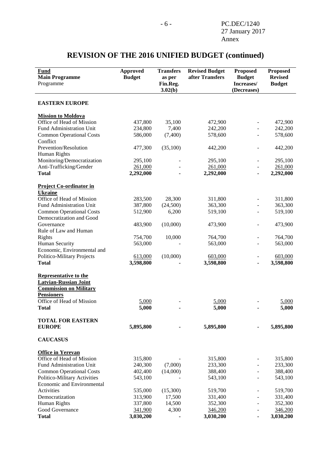| Fund<br><b>Main Programme</b><br>Programme                                                                                                      | <b>Approved</b><br><b>Budget</b> | <b>Transfers</b><br>as per<br>Fin.Reg.<br>3.02(b) | <b>Revised Budget</b><br>after Transfers | <b>Proposed</b><br><b>Budget</b><br>Increases/<br>(Decreases) | <b>Proposed</b><br><b>Revised</b><br><b>Budget</b> |
|-------------------------------------------------------------------------------------------------------------------------------------------------|----------------------------------|---------------------------------------------------|------------------------------------------|---------------------------------------------------------------|----------------------------------------------------|
| <b>EASTERN EUROPE</b>                                                                                                                           |                                  |                                                   |                                          |                                                               |                                                    |
| <b>Mission to Moldova</b>                                                                                                                       |                                  |                                                   |                                          |                                                               |                                                    |
| Office of Head of Mission                                                                                                                       | 437,800                          | 35,100                                            | 472,900                                  |                                                               | 472,900                                            |
| Fund Administration Unit                                                                                                                        | 234,800                          | 7,400                                             | 242,200                                  |                                                               | 242,200                                            |
| <b>Common Operational Costs</b><br>Conflict                                                                                                     | 586,000                          | (7,400)                                           | 578,600                                  |                                                               | 578,600                                            |
| Prevention/Resolution                                                                                                                           | 477,300                          | (35,100)                                          | 442,200                                  |                                                               | 442,200                                            |
| Human Rights                                                                                                                                    |                                  |                                                   |                                          |                                                               |                                                    |
| Monitoring/Democratization                                                                                                                      | 295,100                          |                                                   | 295,100                                  |                                                               | 295,100                                            |
| Anti-Trafficking/Gender                                                                                                                         | 261,000                          |                                                   | 261,000                                  |                                                               | 261,000                                            |
| <b>Total</b>                                                                                                                                    | 2,292,000                        |                                                   | 2,292,000                                |                                                               | 2,292,000                                          |
| <b>Project Co-ordinator in</b><br><b>Ukraine</b>                                                                                                |                                  |                                                   |                                          |                                                               |                                                    |
| Office of Head of Mission                                                                                                                       | 283,500                          | 28,300                                            | 311,800                                  |                                                               | 311,800                                            |
| Fund Administration Unit                                                                                                                        | 387,800                          | (24,500)                                          | 363,300                                  |                                                               | 363,300                                            |
| <b>Common Operational Costs</b>                                                                                                                 | 512,900                          | 6,200                                             | 519,100                                  |                                                               | 519,100                                            |
| Democratization and Good                                                                                                                        |                                  |                                                   |                                          |                                                               |                                                    |
| Governance                                                                                                                                      | 483,900                          | (10,000)                                          | 473,900                                  |                                                               | 473,900                                            |
| Rule of Law and Human                                                                                                                           |                                  |                                                   |                                          |                                                               |                                                    |
| Rights                                                                                                                                          | 754,700                          | 10,000                                            | 764,700                                  |                                                               | 764,700                                            |
| <b>Human Security</b>                                                                                                                           | 563,000                          |                                                   | 563,000                                  |                                                               | 563,000                                            |
| Economic, Environmental and                                                                                                                     |                                  |                                                   |                                          |                                                               |                                                    |
| Politico-Military Projects                                                                                                                      | 613,000                          | (10,000)                                          | 603,000                                  |                                                               | 603,000                                            |
| <b>Total</b>                                                                                                                                    | 3,598,800                        |                                                   | 3,598,800                                |                                                               | 3,598,800                                          |
| <b>Representative to the</b><br><b>Latvian-Russian Joint</b><br><b>Commission on Military</b><br><b>Pensioners</b><br>Office of Head of Mission | 5,000                            |                                                   | 5,000                                    |                                                               | 5,000                                              |
| <b>Total</b>                                                                                                                                    | 5,000                            |                                                   | 5,000                                    |                                                               | 5,000                                              |
| <b>TOTAL FOR EASTERN</b><br><b>EUROPE</b>                                                                                                       | 5,895,800                        |                                                   | 5,895,800                                |                                                               | 5,895,800                                          |
| <b>CAUCASUS</b>                                                                                                                                 |                                  |                                                   |                                          |                                                               |                                                    |
| <b>Office in Yerevan</b>                                                                                                                        |                                  |                                                   |                                          |                                                               |                                                    |
| Office of Head of Mission                                                                                                                       | 315,800                          |                                                   | 315,800                                  |                                                               | 315,800                                            |
| Fund Administration Unit                                                                                                                        | 240,300                          | (7,000)                                           | 233,300                                  |                                                               | 233,300                                            |
| <b>Common Operational Costs</b>                                                                                                                 | 402,400                          | (14,000)                                          | 388,400                                  |                                                               | 388,400                                            |
| Politico-Military Activities                                                                                                                    | 543,100                          |                                                   | 543,100                                  |                                                               | 543,100                                            |
| Economic and Environmental                                                                                                                      |                                  |                                                   |                                          |                                                               |                                                    |
| Activities                                                                                                                                      | 535,000                          | (15,300)                                          | 519,700                                  |                                                               | 519,700                                            |
| Democratization                                                                                                                                 | 313,900                          | 17,500                                            | 331,400                                  |                                                               | 331,400                                            |
| Human Rights                                                                                                                                    | 337,800                          | 14,500                                            | 352,300                                  |                                                               | 352,300                                            |
| Good Governance                                                                                                                                 | 341,900                          | 4,300                                             | 346,200                                  |                                                               | 346,200                                            |
| <b>Total</b>                                                                                                                                    | 3,030,200                        |                                                   | 3,030,200                                |                                                               | 3,030,200                                          |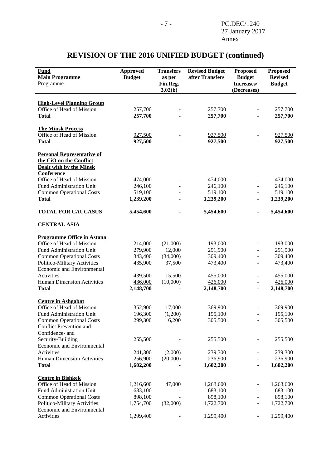#### **Fund Main Programme** Programme **Approved Budget Transfers as per Fin.Reg. 3.02(b) Revised Budget after Transfers Proposed Budget Increases/ (Decreases) Proposed Revised Budget High-Level Planning Group** Office of Head of Mission 257,700 - 257,700 - 257,700 - 257,700 **Total 257,700 - 257,700 - 257,700 The Minsk Process** Office of Head of Mission 927,500 - 927,500 - 927,500 - 927,500 **Total 927,500 - 927,500 - 927,500 Personal Representative of the CiO on the Conflict Dealt with by the Minsk Conference** Office of Head of Mission 474,000 - 474,000 - 474,000 - 474,000 Fund Administration Unit  $246,100$ <br>
Common Operational Costs 519.100 - 246,100 - 246,100 - 246,100 Common Operational Costs 519,100 - 519,100 - 519,100 **Total 1,239,200 - 1,239,200 - 1,239,200 TOTAL FOR CAUCASUS 5,454,600 - 5,454,600 - 5,454,600 CENTRAL ASIA Programme Office in Astana** Office of Head of Mission 214,000 (21,000) 193,000 - 193,000<br>
Fund Administration Unit 279,900 12,000 291,900 - 291,900 Fund Administration Unit 279,900 12,000 291,900 - 291,900 Common Operational Costs 343,400 (34,000) 309,400 - 309,400 Politico-Military Activities 435,900 37,500 473,400 - 473,400 Economic and Environmental Activities **439,500** 15,500 455,000 **- 455,000** Human Dimension Activities 436,000 (10,000) 426,000 - 426,000 **Total 2,148,700 - 2,148,700 - 2,148,700 Centre in Ashgabat** Office of Head of Mission 352,900 17,000 369,900 - 369,900 Fund Administration Unit 196,300 (1,200) 195,100 - 195,100 Common Operational Costs 299,300 6,200 305,500 - 305,500 Conflict Prevention and Confidence- and Security-Building 255,500 - 255,500 - 255,500 - 255,500 Economic and Environmental Activities 241,300 (2,000) 239,300 - 239,300 Human Dimension Activities 256,900 (20,000) 236,900 - 236,900 **Total 1,602,200 - 1,602,200 - 1,602,200 Centre in Bishkek** Office of Head of Mission 1,216,600 47,000 1,263,600 - 1,263,600 Fund Administration Unit 683,100 - 683,100 - 683,100 - 683,100 Common Operational Costs 898,100 - 898,100 - 898,100 Politico-Military Activities 1,754,700 (32,000) 1,722,700 - 1,722,700 Economic and Environmental

Activities 1,299,400 - 1,299,400 - 1,299,400 - 1,299,400